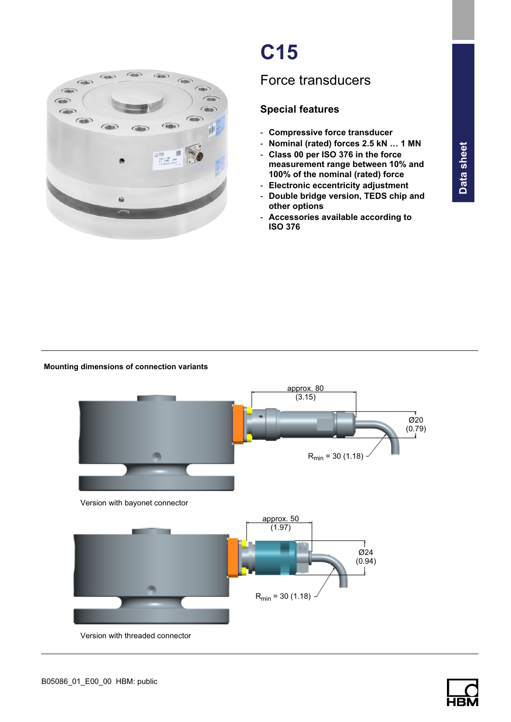

# C15

## Force transducers

### Special features

- Compressive force transducer
- Nominal (rated) forces 2.5 kN … 1 MN
- Class 00 per ISO 376 in the force measurement range between 10% and 100% of the nominal (rated) force
- Electronic eccentricity adjustment
- Double bridge version, TEDS chip and other options
- Accessories available according to ISO 376

#### Mounting dimensions of connection variants



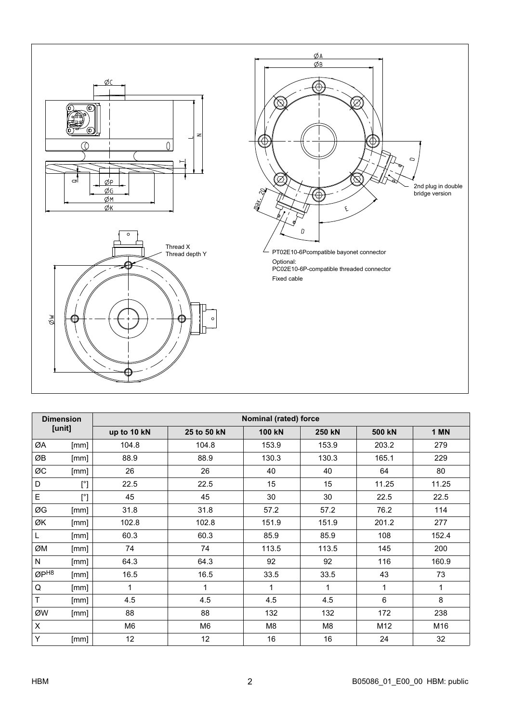

| <b>Dimension</b><br>[unit] |              | Nominal (rated) force |                |               |        |        |       |  |  |  |  |  |
|----------------------------|--------------|-----------------------|----------------|---------------|--------|--------|-------|--|--|--|--|--|
|                            |              | up to 10 kN           | 25 to 50 kN    | <b>100 kN</b> | 250 kN | 500 kN | 1 MN  |  |  |  |  |  |
| ØA                         | [mm]         | 104.8                 | 104.8          | 153.9         | 153.9  | 203.2  | 279   |  |  |  |  |  |
| ØB                         | [mm]         | 88.9                  | 88.9           | 130.3         | 130.3  | 165.1  | 229   |  |  |  |  |  |
| ØC                         | [mm]         | 26                    | 26             | 40            | 40     | 64     | 80    |  |  |  |  |  |
| D                          | $[^{\circ}]$ | 22.5                  | 22.5           | 15            | 15     | 11.25  | 11.25 |  |  |  |  |  |
| $\mathsf{E}$               | $[^{\circ}]$ | 45                    | 45             | 30            | 30     | 22.5   | 22.5  |  |  |  |  |  |
| ØG                         | [mm]         | 31.8                  | 31.8           | 57.2          | 57.2   | 76.2   | 114   |  |  |  |  |  |
| ØK                         | [mm]         | 102.8                 | 102.8          | 151.9         | 151.9  | 201.2  | 277   |  |  |  |  |  |
| L                          | [mm]         | 60.3                  | 60.3           | 85.9          | 85.9   | 108    | 152.4 |  |  |  |  |  |
| ØM                         | [mm]         | 74                    | 74             | 113.5         | 113.5  | 145    | 200   |  |  |  |  |  |
| N                          | [mm]         | 64.3                  | 64.3           | 92            | 92     | 116    | 160.9 |  |  |  |  |  |
| $\varnothing P^{H8}$       | [mm]         | 16.5                  | 16.5           | 33.5          | 33.5   | 43     | 73    |  |  |  |  |  |
| $\mathsf Q$                | [mm]         | 1                     | $\mathbf{1}$   | 1             | 1      | 1      | 1     |  |  |  |  |  |
| $\mathsf T$                | [mm]         | 4.5                   | 4.5            | 4.5           | 4.5    | 6      | 8     |  |  |  |  |  |
| ØW                         | [mm]         | 88                    | 88             | 132           | 132    | 172    | 238   |  |  |  |  |  |
| $\pmb{\times}$             |              | M <sub>6</sub>        | M <sub>6</sub> | M8            | M8     | M12    | M16   |  |  |  |  |  |
| Y                          | [mm]         | 12                    | 12             | 16            | 16     | 24     | 32    |  |  |  |  |  |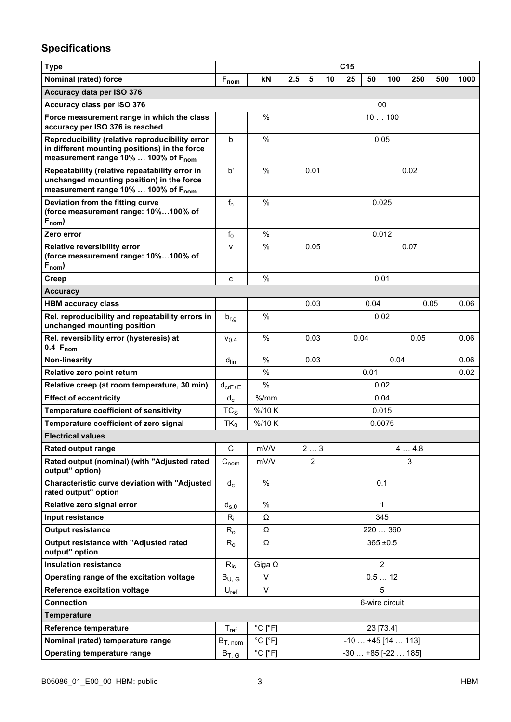## Specifications

| <b>Type</b>                                                                                                                                         |                             |                              | C <sub>15</sub>       |                |  |                |                    |      |     |      |
|-----------------------------------------------------------------------------------------------------------------------------------------------------|-----------------------------|------------------------------|-----------------------|----------------|--|----------------|--------------------|------|-----|------|
| Nominal (rated) force                                                                                                                               | $F_{nom}$                   | kN                           | 2.5<br>5              | 10<br>25<br>50 |  |                |                    | 250  | 500 | 1000 |
| Accuracy data per ISO 376                                                                                                                           |                             |                              |                       |                |  |                |                    |      |     |      |
| Accuracy class per ISO 376                                                                                                                          |                             |                              |                       |                |  | 00             |                    |      |     |      |
| Force measurement range in which the class<br>accuracy per ISO 376 is reached                                                                       |                             | $\%$                         | 10100                 |                |  |                |                    |      |     |      |
| Reproducibility (relative reproducibility error<br>in different mounting positions) in the force<br>measurement range 10%  100% of F <sub>nom</sub> | b                           | $\%$                         | 0.05                  |                |  |                |                    |      |     |      |
| Repeatability (relative repeatability error in<br>unchanged mounting position) in the force<br>measurement range 10%  100% of F <sub>nom</sub>      | b'                          | $\%$                         | 0.01                  |                |  |                |                    | 0.02 |     |      |
| Deviation from the fitting curve<br>(force measurement range: 10%100% of<br>$F_{nom}$ )                                                             | $f_c$                       | $\%$                         |                       |                |  | 0.025          |                    |      |     |      |
| Zero error                                                                                                                                          | $f_0$                       | $\%$                         |                       |                |  | 0.012          |                    |      |     |      |
| <b>Relative reversibility error</b><br>(force measurement range: 10%100% of<br>$F_{nom}$ )                                                          | v                           | $\%$                         | 0.05                  |                |  |                |                    | 0.07 |     |      |
| Creep                                                                                                                                               | c                           | $\%$                         |                       |                |  | 0.01           |                    |      |     |      |
| <b>Accuracy</b>                                                                                                                                     |                             |                              |                       |                |  |                |                    |      |     |      |
| <b>HBM accuracy class</b>                                                                                                                           |                             |                              | 0.03                  |                |  | 0.04           |                    | 0.05 |     | 0.06 |
| Rel. reproducibility and repeatability errors in<br>unchanged mounting position                                                                     | $b_{r,g}$                   | $\%$                         | 0.02                  |                |  |                |                    |      |     |      |
| Rel. reversibility error (hysteresis) at<br>$0.4 F_{nom}$                                                                                           | $V_{0.4}$                   | $\%$                         |                       | 0.03           |  | 0.04           |                    | 0.05 |     | 0.06 |
| Non-linearity                                                                                                                                       | $d_{lin}$                   | $\%$                         | 0.04<br>0.03          |                |  |                |                    | 0.06 |     |      |
| Relative zero point return                                                                                                                          |                             | $\%$                         |                       | 0.01           |  |                | 0.02               |      |     |      |
| Relative creep (at room temperature, 30 min)                                                                                                        | $d_{\text{crF+E}}$          | %                            | 0.02                  |                |  |                |                    |      |     |      |
| <b>Effect of eccentricity</b>                                                                                                                       | $d_e$                       | $%$ /mm                      | 0.04                  |                |  |                |                    |      |     |      |
| Temperature coefficient of sensitivity                                                                                                              | $TC_S$                      | %/10K                        |                       |                |  | 0.015          |                    |      |     |      |
| Temperature coefficient of zero signal                                                                                                              | $TK_0$                      | %/10K                        |                       |                |  | 0.0075         |                    |      |     |      |
| <b>Electrical values</b>                                                                                                                            |                             |                              |                       |                |  |                |                    |      |     |      |
| <b>Rated output range</b>                                                                                                                           | С                           | mV/V                         | 23                    |                |  |                |                    | 44.8 |     |      |
| Rated output (nominal) (with "Adjusted rated<br>output" option)                                                                                     | $C_{nom}$                   | mV/V                         | $\overline{2}$        |                |  |                |                    | 3    |     |      |
| <b>Characteristic curve deviation with "Adjusted</b><br>rated output" option                                                                        | $d_c$                       | $\%$                         |                       | 0.1            |  |                |                    |      |     |      |
| Relative zero signal error                                                                                                                          | $d_{s,0}$                   | %                            |                       |                |  | 1              |                    |      |     |      |
| Input resistance                                                                                                                                    | $R_i$                       | Ω                            |                       |                |  | 345            |                    |      |     |      |
| <b>Output resistance</b>                                                                                                                            | $R_{o}$                     | Ω                            |                       |                |  |                | 220  360           |      |     |      |
| Output resistance with "Adjusted rated<br>output" option                                                                                            | $R_{o}$                     | Ω                            | $365 \pm 0.5$         |                |  |                |                    |      |     |      |
| <b>Insulation resistance</b>                                                                                                                        | $R_{is}$                    | Giga $\Omega$                |                       |                |  | $\overline{2}$ |                    |      |     |      |
| Operating range of the excitation voltage                                                                                                           | $B_{U, G}$                  | V                            |                       |                |  | 0.512          |                    |      |     |      |
| <b>Reference excitation voltage</b>                                                                                                                 | $U_{\sf ref}$               | V                            | 5                     |                |  |                |                    |      |     |      |
| <b>Connection</b>                                                                                                                                   |                             |                              | 6-wire circuit        |                |  |                |                    |      |     |      |
| <b>Temperature</b>                                                                                                                                  |                             |                              |                       |                |  |                |                    |      |     |      |
| Reference temperature                                                                                                                               | $\mathsf{T}_{\mathsf{ref}}$ | $^{\circ}$ C [ $^{\circ}$ F] |                       |                |  | 23 [73.4]      |                    |      |     |      |
| Nominal (rated) temperature range                                                                                                                   | $B_{T, nom}$                | $^{\circ}$ C [ $^{\circ}$ F] |                       |                |  |                | $-10+45$ [14  113] |      |     |      |
| <b>Operating temperature range</b>                                                                                                                  | $B_{T, G}$                  | $^{\circ}$ C [ $^{\circ}$ F] | $-30+85$ [ $-22185$ ] |                |  |                |                    |      |     |      |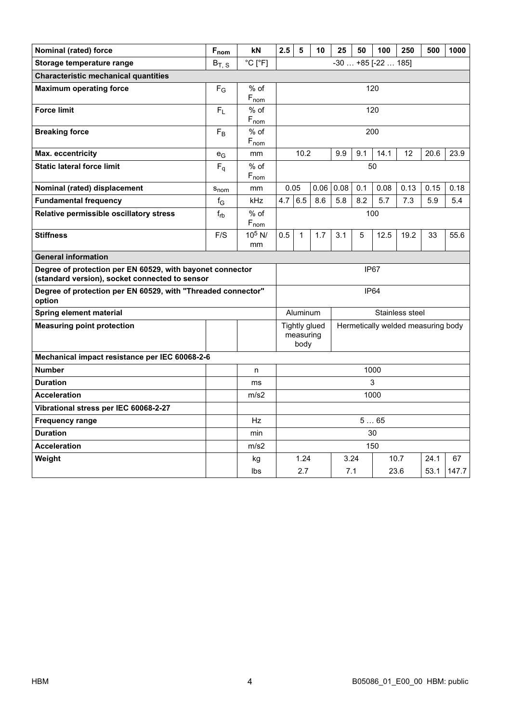| Nominal (rated) force                                                                                       | $F_{nom}$                 | kN                           | 2.5<br>5<br>10<br>25<br>50<br>100<br>250 |                                                            |      |      |     | 500              | 1000 |      |       |
|-------------------------------------------------------------------------------------------------------------|---------------------------|------------------------------|------------------------------------------|------------------------------------------------------------|------|------|-----|------------------|------|------|-------|
| Storage temperature range                                                                                   | $B_T$ , s                 | $^{\circ}$ C [ $^{\circ}$ F] |                                          | $-30+85$ [ $-22185$ ]                                      |      |      |     |                  |      |      |       |
| <b>Characteristic mechanical quantities</b>                                                                 |                           |                              |                                          |                                                            |      |      |     |                  |      |      |       |
| <b>Maximum operating force</b>                                                                              | $F_G$                     | $%$ of                       |                                          | 120                                                        |      |      |     |                  |      |      |       |
|                                                                                                             |                           | $F_{nom}$                    |                                          |                                                            |      |      |     |                  |      |      |       |
| <b>Force limit</b>                                                                                          | $F_L$                     | $%$ of<br>$F_{nom}$          |                                          | 120                                                        |      |      |     |                  |      |      |       |
| <b>Breaking force</b>                                                                                       | $F_B$                     | $%$ of                       |                                          |                                                            |      |      |     | 200              |      |      |       |
|                                                                                                             |                           | $F_{nom}$                    |                                          |                                                            |      |      |     |                  |      |      |       |
| <b>Max. eccentricity</b>                                                                                    | $e_G$                     | mm                           |                                          | 10.2                                                       |      | 9.9  | 9.1 | 14.1             | 12   | 20.6 | 23.9  |
| <b>Static lateral force limit</b>                                                                           | $F_q$                     | $%$ of                       |                                          |                                                            |      |      |     | 50               |      |      |       |
|                                                                                                             |                           | $F_{nom}$                    |                                          |                                                            |      |      |     |                  |      |      |       |
| Nominal (rated) displacement                                                                                | S <sub>nom</sub>          | mm                           | 0.05                                     |                                                            | 0.06 | 0.08 | 0.1 | 0.08             | 0.13 | 0.15 | 0.18  |
| <b>Fundamental frequency</b>                                                                                | $\mathsf{f}_{\mathsf{G}}$ | kHz                          | 4.7                                      | 6.5                                                        | 8.6  | 5.8  | 8.2 | 5.7              | 7.3  | 5.9  | 5.4   |
| Relative permissible oscillatory stress                                                                     | $f_{rb}$                  | $%$ of                       |                                          |                                                            |      |      |     | 100              |      |      |       |
| <b>Stiffness</b>                                                                                            | F/S                       | $F_{nom}$<br>$10^5$ N/       | 0.5                                      | 1                                                          | 1.7  | 3.1  | 5   | 12.5             | 19.2 | 33   | 55.6  |
|                                                                                                             |                           | mm                           |                                          |                                                            |      |      |     |                  |      |      |       |
| <b>General information</b>                                                                                  |                           |                              |                                          |                                                            |      |      |     |                  |      |      |       |
| Degree of protection per EN 60529, with bayonet connector<br>(standard version), socket connected to sensor |                           |                              |                                          |                                                            |      |      |     | IP <sub>67</sub> |      |      |       |
| Degree of protection per EN 60529, with "Threaded connector"<br>option                                      |                           |                              |                                          |                                                            |      |      |     | <b>IP64</b>      |      |      |       |
| Spring element material                                                                                     |                           |                              | Aluminum<br>Stainless steel              |                                                            |      |      |     |                  |      |      |       |
| <b>Measuring point protection</b>                                                                           |                           |                              |                                          | <b>Tightly glued</b><br>Hermetically welded measuring body |      |      |     |                  |      |      |       |
|                                                                                                             |                           |                              |                                          | measuring<br>body                                          |      |      |     |                  |      |      |       |
| Mechanical impact resistance per IEC 60068-2-6                                                              |                           |                              |                                          |                                                            |      |      |     |                  |      |      |       |
| <b>Number</b>                                                                                               |                           | n                            |                                          | 1000                                                       |      |      |     |                  |      |      |       |
| <b>Duration</b>                                                                                             |                           | ms                           |                                          | 3                                                          |      |      |     |                  |      |      |       |
| <b>Acceleration</b>                                                                                         |                           | m/s2                         |                                          | 1000                                                       |      |      |     |                  |      |      |       |
| Vibrational stress per IEC 60068-2-27                                                                       |                           |                              |                                          |                                                            |      |      |     |                  |      |      |       |
| <b>Frequency range</b>                                                                                      |                           | Hz                           |                                          |                                                            |      |      |     | 565              |      |      |       |
| <b>Duration</b>                                                                                             |                           | min                          |                                          |                                                            |      |      |     | 30               |      |      |       |
| <b>Acceleration</b>                                                                                         |                           | m/s2                         |                                          |                                                            |      |      |     | 150              |      |      |       |
| Weight                                                                                                      |                           | kg                           |                                          | 1.24                                                       |      | 3.24 |     |                  | 10.7 | 24.1 | 67    |
|                                                                                                             |                           | lbs                          |                                          | 2.7                                                        |      | 7.1  |     |                  | 23.6 | 53.1 | 147.7 |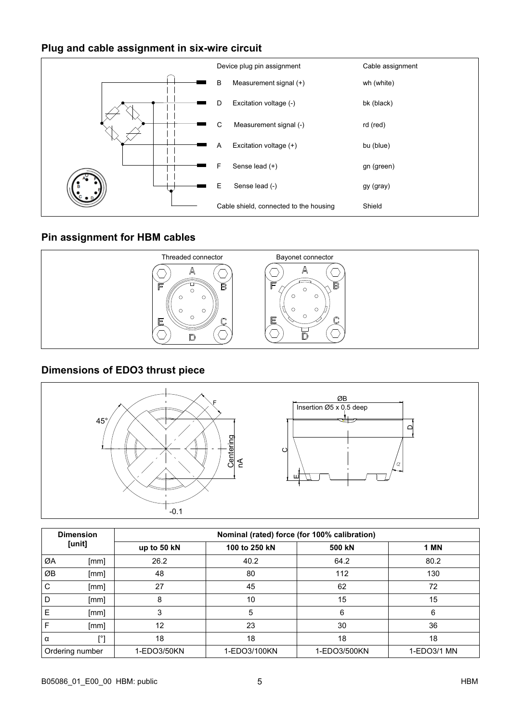#### Plug and cable assignment in six-wire circuit



#### Pin assignment for HBM cables



#### Dimensions of EDO3 thrust piece



| <b>Dimension</b><br>[unit] |                 | Nominal (rated) force (for 100% calibration) |               |              |             |  |  |  |  |  |
|----------------------------|-----------------|----------------------------------------------|---------------|--------------|-------------|--|--|--|--|--|
|                            |                 | up to 50 kN                                  | 100 to 250 kN | 500 kN       | 1 MN        |  |  |  |  |  |
| ØA                         | [mm]            | 26.2                                         | 40.2          | 64.2         | 80.2        |  |  |  |  |  |
| ØB                         | [mm]            | 48                                           | 80            | 112          | 130         |  |  |  |  |  |
| C                          | [mm]            | 27                                           | 45            | 62           | 72          |  |  |  |  |  |
| l D                        | [mm]            | 8                                            | 10            | 15           | 15          |  |  |  |  |  |
| E                          | [mm]            | 3                                            | 5             | 6            | 6           |  |  |  |  |  |
| F                          | [mm]            | 12                                           | 23            | 30           | 36          |  |  |  |  |  |
| $\alpha$                   | [°]             | 18                                           | 18            | 18           | 18          |  |  |  |  |  |
|                            | Ordering number | 1-EDO3/50KN                                  | 1-EDO3/100KN  | 1-EDO3/500KN | 1-EDO3/1 MN |  |  |  |  |  |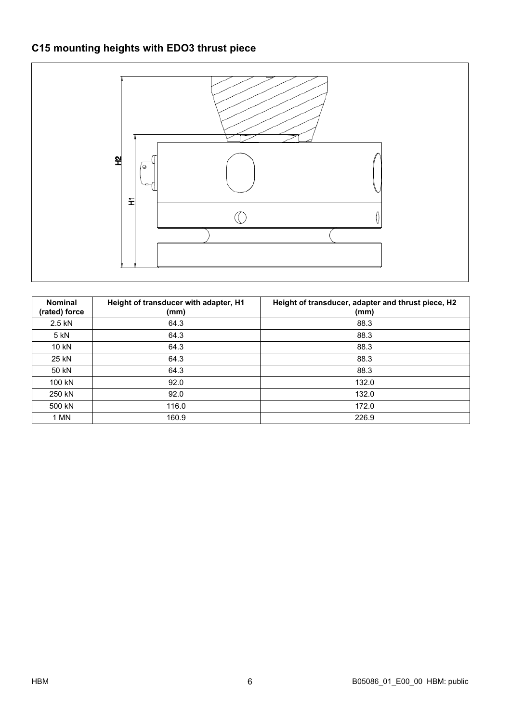## C15 mounting heights with EDO3 thrust piece



| <b>Nominal</b><br>(rated) force | Height of transducer with adapter, H1<br>(mm) | Height of transducer, adapter and thrust piece, H2<br>(mm) |
|---------------------------------|-----------------------------------------------|------------------------------------------------------------|
| 2.5 kN                          | 64.3                                          | 88.3                                                       |
| 5 kN                            | 64.3                                          | 88.3                                                       |
| 10 kN                           | 64.3                                          | 88.3                                                       |
| 25 kN                           | 64.3                                          | 88.3                                                       |
| 50 kN                           | 64.3                                          | 88.3                                                       |
| 100 kN                          | 92.0                                          | 132.0                                                      |
| 250 kN                          | 92.0                                          | 132.0                                                      |
| 500 kN                          | 116.0                                         | 172.0                                                      |
| 1 MN                            | 160.9                                         | 226.9                                                      |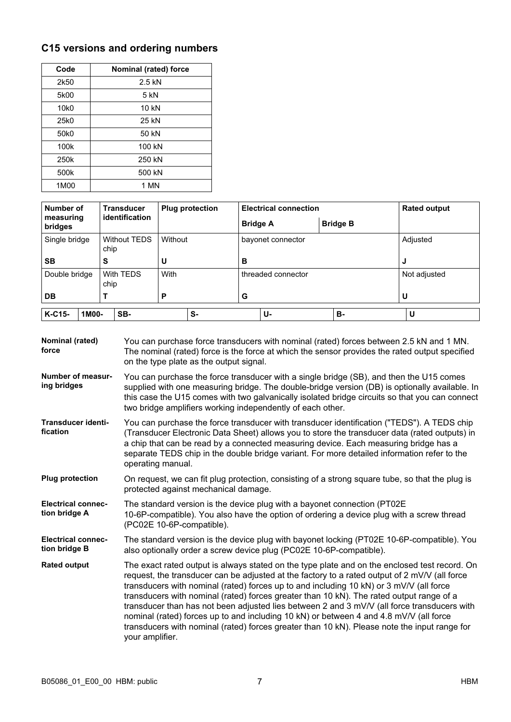## C15 versions and ordering numbers

| Code             | Nominal (rated) force |
|------------------|-----------------------|
| 2k50             | $2.5$ kN              |
| 5k00             | $5$ kN                |
| 10 <sub>k0</sub> | 10 kN                 |
| 25k0             | 25 kN                 |
| 50 <sub>k0</sub> | 50 kN                 |
| 100k             | 100 kN                |
| 250k             | 250 kN                |
| 500k             | 500 kN                |
| 1M00             | 1 MN                  |

| Number of            |                       | <b>Transducer</b>   |         | <b>Plug protection</b> |                 | <b>Electrical connection</b> |                 |          | <b>Rated output</b> |  |
|----------------------|-----------------------|---------------------|---------|------------------------|-----------------|------------------------------|-----------------|----------|---------------------|--|
| measuring<br>bridges | <i>identification</i> |                     |         |                        | <b>Bridge A</b> |                              | <b>Bridge B</b> |          |                     |  |
| Single bridge        | chip                  | <b>Without TEDS</b> | Without |                        |                 | bayonet connector            |                 | Adjusted |                     |  |
| <b>SB</b>            | S                     |                     | U       |                        | в               |                              |                 | J        |                     |  |
| Double bridge        | chip                  | With TEDS           | With    |                        |                 | threaded connector           |                 |          | Not adjusted        |  |
| <b>DB</b>            |                       |                     | Ρ       |                        | G               |                              |                 | U        |                     |  |
| K-C15-<br>1M00-      |                       | SB-                 |         | s-                     |                 | U-                           | в.              |          | U                   |  |

| Nominal (rated)<br>force                   | You can purchase force transducers with nominal (rated) forces between 2.5 kN and 1 MN.<br>The nominal (rated) force is the force at which the sensor provides the rated output specified<br>on the type plate as the output signal.                                                                                                                                                                                                                                                                                                                                                                                                                                                              |
|--------------------------------------------|---------------------------------------------------------------------------------------------------------------------------------------------------------------------------------------------------------------------------------------------------------------------------------------------------------------------------------------------------------------------------------------------------------------------------------------------------------------------------------------------------------------------------------------------------------------------------------------------------------------------------------------------------------------------------------------------------|
| <b>Number of measur-</b><br>ing bridges    | You can purchase the force transducer with a single bridge (SB), and then the U15 comes<br>supplied with one measuring bridge. The double-bridge version (DB) is optionally available. In<br>this case the U15 comes with two galvanically isolated bridge circuits so that you can connect<br>two bridge amplifiers working independently of each other.                                                                                                                                                                                                                                                                                                                                         |
| <b>Transducer identi-</b><br>fication      | You can purchase the force transducer with transducer identification ("TEDS"). A TEDS chip<br>(Transducer Electronic Data Sheet) allows you to store the transducer data (rated outputs) in<br>a chip that can be read by a connected measuring device. Each measuring bridge has a<br>separate TEDS chip in the double bridge variant. For more detailed information refer to the<br>operating manual.                                                                                                                                                                                                                                                                                           |
| <b>Plug protection</b>                     | On request, we can fit plug protection, consisting of a strong square tube, so that the plug is<br>protected against mechanical damage.                                                                                                                                                                                                                                                                                                                                                                                                                                                                                                                                                           |
| <b>Electrical connec-</b><br>tion bridge A | The standard version is the device plug with a bayonet connection (PT02E)<br>10-6P-compatible). You also have the option of ordering a device plug with a screw thread<br>(PC02E 10-6P-compatible).                                                                                                                                                                                                                                                                                                                                                                                                                                                                                               |
| <b>Electrical connec-</b><br>tion bridge B | The standard version is the device plug with bayonet locking (PT02E 10-6P-compatible). You<br>also optionally order a screw device plug (PC02E 10-6P-compatible).                                                                                                                                                                                                                                                                                                                                                                                                                                                                                                                                 |
| <b>Rated output</b>                        | The exact rated output is always stated on the type plate and on the enclosed test record. On<br>request, the transducer can be adjusted at the factory to a rated output of 2 mV/V (all force<br>transducers with nominal (rated) forces up to and including 10 kN) or 3 mV/V (all force<br>transducers with nominal (rated) forces greater than 10 kN). The rated output range of a<br>transducer than has not been adjusted lies between 2 and 3 mV/V (all force transducers with<br>nominal (rated) forces up to and including 10 kN) or between 4 and 4.8 mV/V (all force<br>transducers with nominal (rated) forces greater than 10 kN). Please note the input range for<br>your amplifier. |